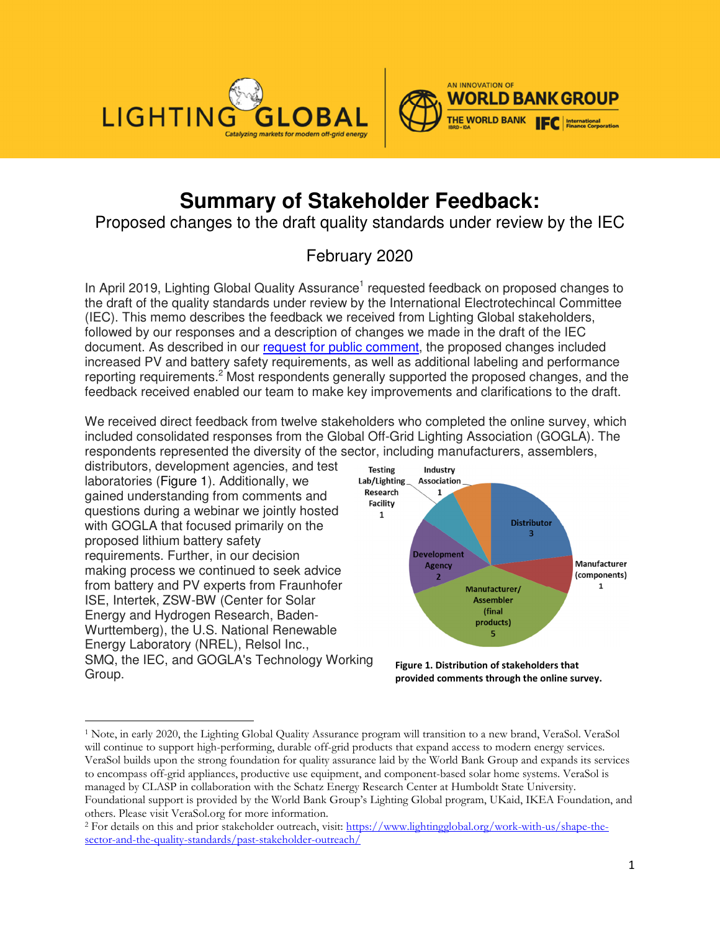

 $\overline{a}$ 



# **Summary of Stakeholder Feedback:**

Proposed changes to the draft quality standards under review by the IEC

# February 2020

In April 2019, Lighting Global Quality Assurance<sup>1</sup> requested feedback on proposed changes to the draft of the quality standards under review by the International Electrotechincal Committee (IEC). This memo describes the feedback we received from Lighting Global stakeholders, followed by our responses and a description of changes we made in the draft of the IEC document. As described in our request for public comment, the proposed changes included increased PV and battery safety requirements, as well as additional labeling and performance reporting requirements.<sup>2</sup> Most respondents generally supported the proposed changes, and the feedback received enabled our team to make key improvements and clarifications to the draft.

We received direct feedback from twelve stakeholders who completed the online survey, which included consolidated responses from the Global Off-Grid Lighting Association (GOGLA). The respondents represented the diversity of the sector, including manufacturers, assemblers,



<sup>1</sup> Note, in early 2020, the Lighting Global Quality Assurance program will transition to a new brand, VeraSol. VeraSol will continue to support high-performing, durable off-grid products that expand access to modern energy services. VeraSol builds upon the strong foundation for quality assurance laid by the World Bank Group and expands its services to encompass off-grid appliances, productive use equipment, and component-based solar home systems. VeraSol is managed by CLASP in collaboration with the Schatz Energy Research Center at Humboldt State University. Foundational support is provided by the World Bank Group's Lighting Global program, UKaid, IKEA Foundation, and others. Please visit VeraSol.org for more information.

<sup>&</sup>lt;sup>2</sup> For details on this and prior stakeholder outreach, visit: https://www.lightingglobal.org/work-with-us/shape-thesector-and-the-quality-standards/past-stakeholder-outreach/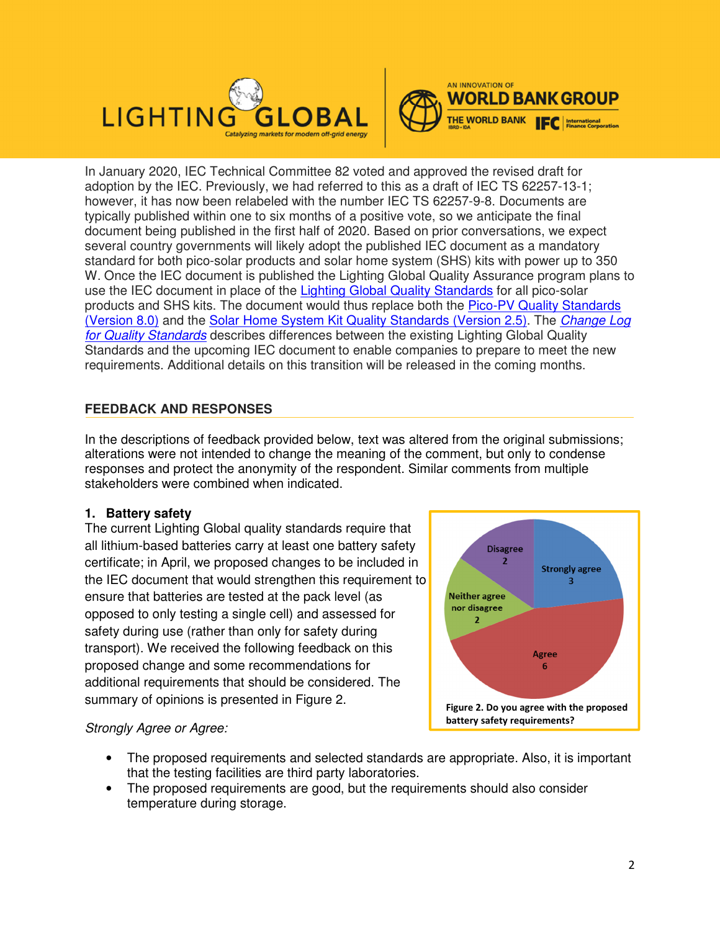



In January 2020, IEC Technical Committee 82 voted and approved the revised draft for adoption by the IEC. Previously, we had referred to this as a draft of IEC TS 62257-13-1; however, it has now been relabeled with the number IEC TS 62257-9-8. Documents are typically published within one to six months of a positive vote, so we anticipate the final document being published in the first half of 2020. Based on prior conversations, we expect several country governments will likely adopt the published IEC document as a mandatory standard for both pico-solar products and solar home system (SHS) kits with power up to 350 W. Once the IEC document is published the Lighting Global Quality Assurance program plans to use the IEC document in place of the Lighting Global Quality Standards for all pico-solar products and SHS kits. The document would thus replace both the Pico-PV Quality Standards (Version 8.0) and the Solar Home System Kit Quality Standards (Version 2.5). The Change Log for Quality Standards describes differences between the existing Lighting Global Quality Standards and the upcoming IEC document to enable companies to prepare to meet the new requirements. Additional details on this transition will be released in the coming months.

# **FEEDBACK AND RESPONSES**

In the descriptions of feedback provided below, text was altered from the original submissions; alterations were not intended to change the meaning of the comment, but only to condense responses and protect the anonymity of the respondent. Similar comments from multiple stakeholders were combined when indicated.

# **1. Battery safety**

The current Lighting Global quality standards require that all lithium-based batteries carry at least one battery safety certificate; in April, we proposed changes to be included in the IEC document that would strengthen this requirement to ensure that batteries are tested at the pack level (as opposed to only testing a single cell) and assessed for safety during use (rather than only for safety during transport). We received the following feedback on this proposed change and some recommendations for additional requirements that should be considered. The summary of opinions is presented in Figure 2.



# Strongly Agree or Agree:

- The proposed requirements and selected standards are appropriate. Also, it is important that the testing facilities are third party laboratories.
- The proposed requirements are good, but the requirements should also consider temperature during storage.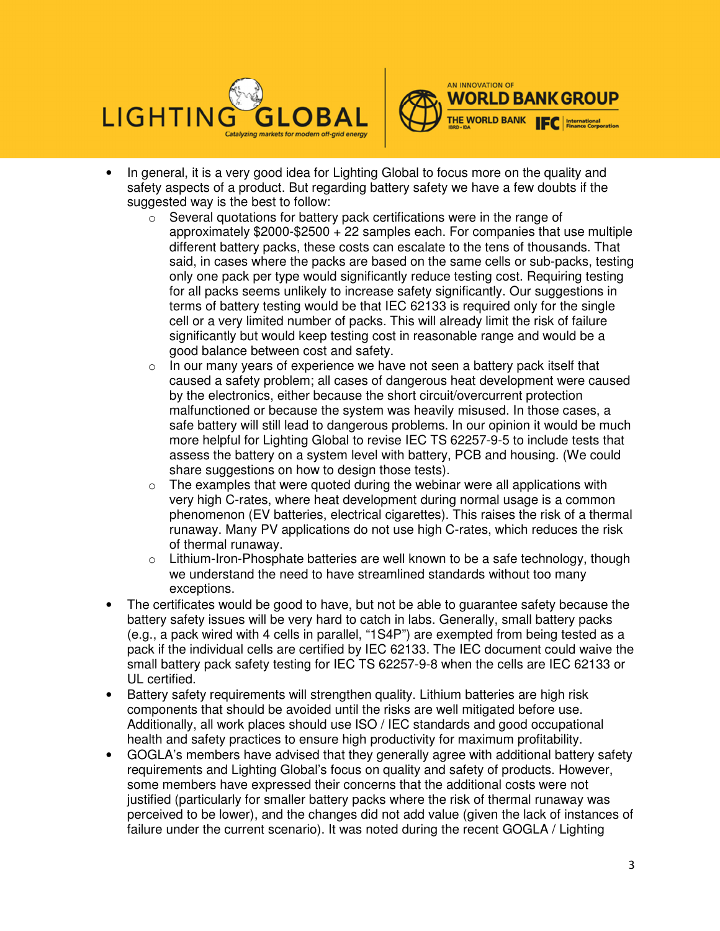



- In general, it is a very good idea for Lighting Global to focus more on the quality and safety aspects of a product. But regarding battery safety we have a few doubts if the suggested way is the best to follow:
	- o Several quotations for battery pack certifications were in the range of approximately \$2000-\$2500 + 22 samples each. For companies that use multiple different battery packs, these costs can escalate to the tens of thousands. That said, in cases where the packs are based on the same cells or sub-packs, testing only one pack per type would significantly reduce testing cost. Requiring testing for all packs seems unlikely to increase safety significantly. Our suggestions in terms of battery testing would be that IEC 62133 is required only for the single cell or a very limited number of packs. This will already limit the risk of failure significantly but would keep testing cost in reasonable range and would be a good balance between cost and safety.
	- $\circ$  In our many years of experience we have not seen a battery pack itself that caused a safety problem; all cases of dangerous heat development were caused by the electronics, either because the short circuit/overcurrent protection malfunctioned or because the system was heavily misused. In those cases, a safe battery will still lead to dangerous problems. In our opinion it would be much more helpful for Lighting Global to revise IEC TS 62257-9-5 to include tests that assess the battery on a system level with battery, PCB and housing. (We could share suggestions on how to design those tests).
	- $\circ$  The examples that were quoted during the webinar were all applications with very high C-rates, where heat development during normal usage is a common phenomenon (EV batteries, electrical cigarettes). This raises the risk of a thermal runaway. Many PV applications do not use high C-rates, which reduces the risk of thermal runaway.
	- $\circ$  Lithium-Iron-Phosphate batteries are well known to be a safe technology, though we understand the need to have streamlined standards without too many exceptions.
- The certificates would be good to have, but not be able to guarantee safety because the battery safety issues will be very hard to catch in labs. Generally, small battery packs (e.g., a pack wired with 4 cells in parallel, "1S4P") are exempted from being tested as a pack if the individual cells are certified by IEC 62133. The IEC document could waive the small battery pack safety testing for IEC TS 62257-9-8 when the cells are IEC 62133 or UL certified.
- Battery safety requirements will strengthen quality. Lithium batteries are high risk components that should be avoided until the risks are well mitigated before use. Additionally, all work places should use ISO / IEC standards and good occupational health and safety practices to ensure high productivity for maximum profitability.
- GOGLA's members have advised that they generally agree with additional battery safety requirements and Lighting Global's focus on quality and safety of products. However, some members have expressed their concerns that the additional costs were not justified (particularly for smaller battery packs where the risk of thermal runaway was perceived to be lower), and the changes did not add value (given the lack of instances of failure under the current scenario). It was noted during the recent GOGLA / Lighting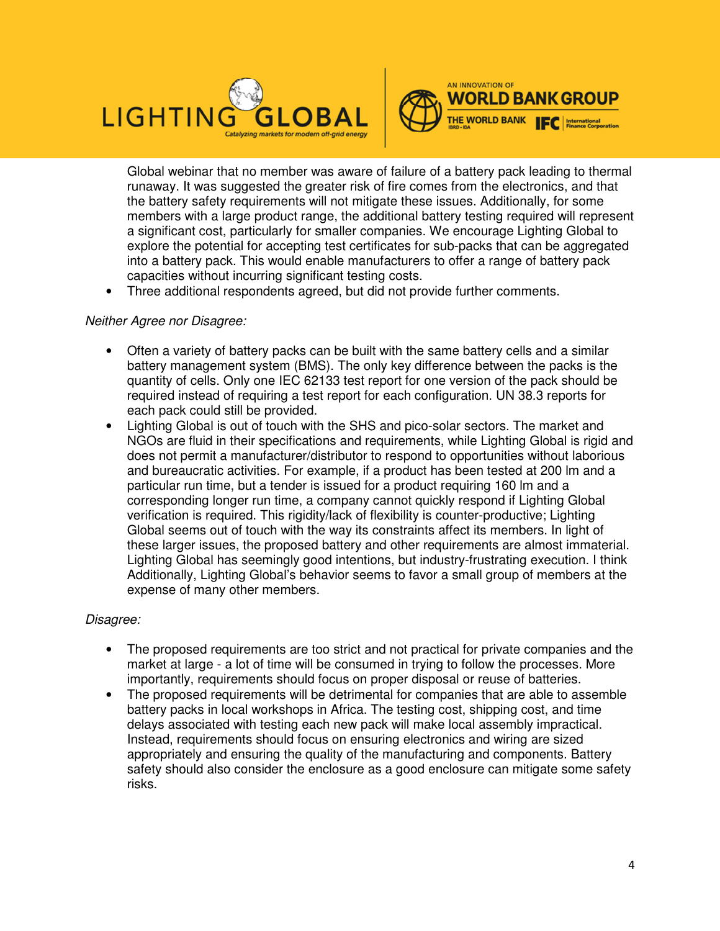



Global webinar that no member was aware of failure of a battery pack leading to thermal runaway. It was suggested the greater risk of fire comes from the electronics, and that the battery safety requirements will not mitigate these issues. Additionally, for some members with a large product range, the additional battery testing required will represent a significant cost, particularly for smaller companies. We encourage Lighting Global to explore the potential for accepting test certificates for sub-packs that can be aggregated into a battery pack. This would enable manufacturers to offer a range of battery pack capacities without incurring significant testing costs.

• Three additional respondents agreed, but did not provide further comments.

## Neither Agree nor Disagree:

- Often a variety of battery packs can be built with the same battery cells and a similar battery management system (BMS). The only key difference between the packs is the quantity of cells. Only one IEC 62133 test report for one version of the pack should be required instead of requiring a test report for each configuration. UN 38.3 reports for each pack could still be provided.
- Lighting Global is out of touch with the SHS and pico-solar sectors. The market and NGOs are fluid in their specifications and requirements, while Lighting Global is rigid and does not permit a manufacturer/distributor to respond to opportunities without laborious and bureaucratic activities. For example, if a product has been tested at 200 lm and a particular run time, but a tender is issued for a product requiring 160 lm and a corresponding longer run time, a company cannot quickly respond if Lighting Global verification is required. This rigidity/lack of flexibility is counter-productive; Lighting Global seems out of touch with the way its constraints affect its members. In light of these larger issues, the proposed battery and other requirements are almost immaterial. Lighting Global has seemingly good intentions, but industry-frustrating execution. I think Additionally, Lighting Global's behavior seems to favor a small group of members at the expense of many other members.

#### Disagree:

- The proposed requirements are too strict and not practical for private companies and the market at large - a lot of time will be consumed in trying to follow the processes. More importantly, requirements should focus on proper disposal or reuse of batteries.
- The proposed requirements will be detrimental for companies that are able to assemble battery packs in local workshops in Africa. The testing cost, shipping cost, and time delays associated with testing each new pack will make local assembly impractical. Instead, requirements should focus on ensuring electronics and wiring are sized appropriately and ensuring the quality of the manufacturing and components. Battery safety should also consider the enclosure as a good enclosure can mitigate some safety risks.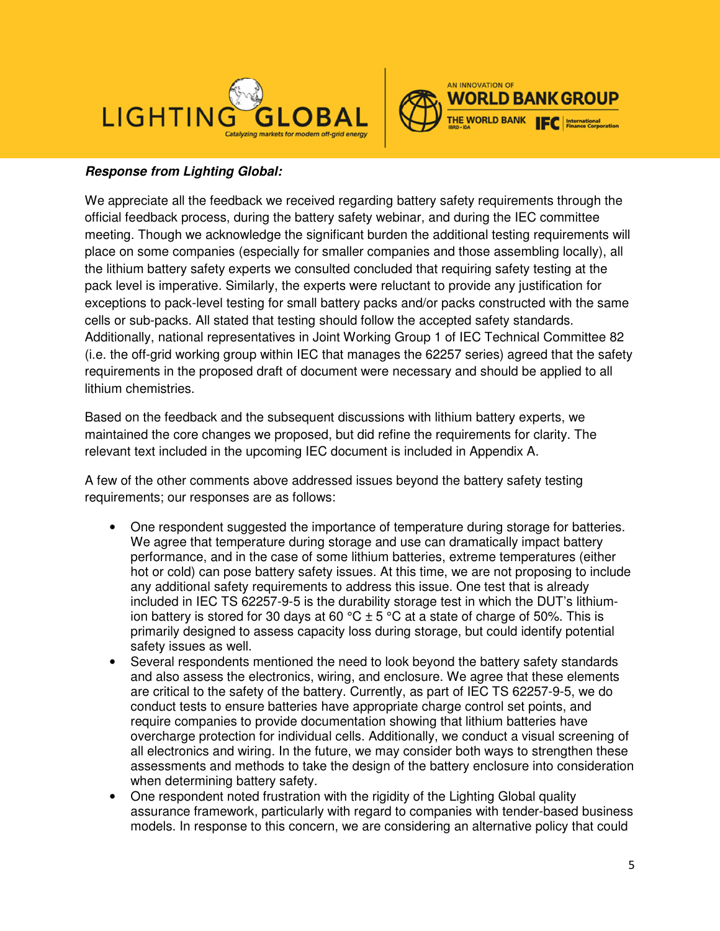



# **Response from Lighting Global:**

We appreciate all the feedback we received regarding battery safety requirements through the official feedback process, during the battery safety webinar, and during the IEC committee meeting. Though we acknowledge the significant burden the additional testing requirements will place on some companies (especially for smaller companies and those assembling locally), all the lithium battery safety experts we consulted concluded that requiring safety testing at the pack level is imperative. Similarly, the experts were reluctant to provide any justification for exceptions to pack-level testing for small battery packs and/or packs constructed with the same cells or sub-packs. All stated that testing should follow the accepted safety standards. Additionally, national representatives in Joint Working Group 1 of IEC Technical Committee 82 (i.e. the off-grid working group within IEC that manages the 62257 series) agreed that the safety requirements in the proposed draft of document were necessary and should be applied to all lithium chemistries.

Based on the feedback and the subsequent discussions with lithium battery experts, we maintained the core changes we proposed, but did refine the requirements for clarity. The relevant text included in the upcoming IEC document is included in Appendix A.

A few of the other comments above addressed issues beyond the battery safety testing requirements; our responses are as follows:

- One respondent suggested the importance of temperature during storage for batteries. We agree that temperature during storage and use can dramatically impact battery performance, and in the case of some lithium batteries, extreme temperatures (either hot or cold) can pose battery safety issues. At this time, we are not proposing to include any additional safety requirements to address this issue. One test that is already included in IEC TS 62257-9-5 is the durability storage test in which the DUT's lithiumion battery is stored for 30 days at 60 °C  $\pm$  5 °C at a state of charge of 50%. This is primarily designed to assess capacity loss during storage, but could identify potential safety issues as well.
- Several respondents mentioned the need to look beyond the battery safety standards and also assess the electronics, wiring, and enclosure. We agree that these elements are critical to the safety of the battery. Currently, as part of IEC TS 62257-9-5, we do conduct tests to ensure batteries have appropriate charge control set points, and require companies to provide documentation showing that lithium batteries have overcharge protection for individual cells. Additionally, we conduct a visual screening of all electronics and wiring. In the future, we may consider both ways to strengthen these assessments and methods to take the design of the battery enclosure into consideration when determining battery safety.
- One respondent noted frustration with the rigidity of the Lighting Global quality assurance framework, particularly with regard to companies with tender-based business models. In response to this concern, we are considering an alternative policy that could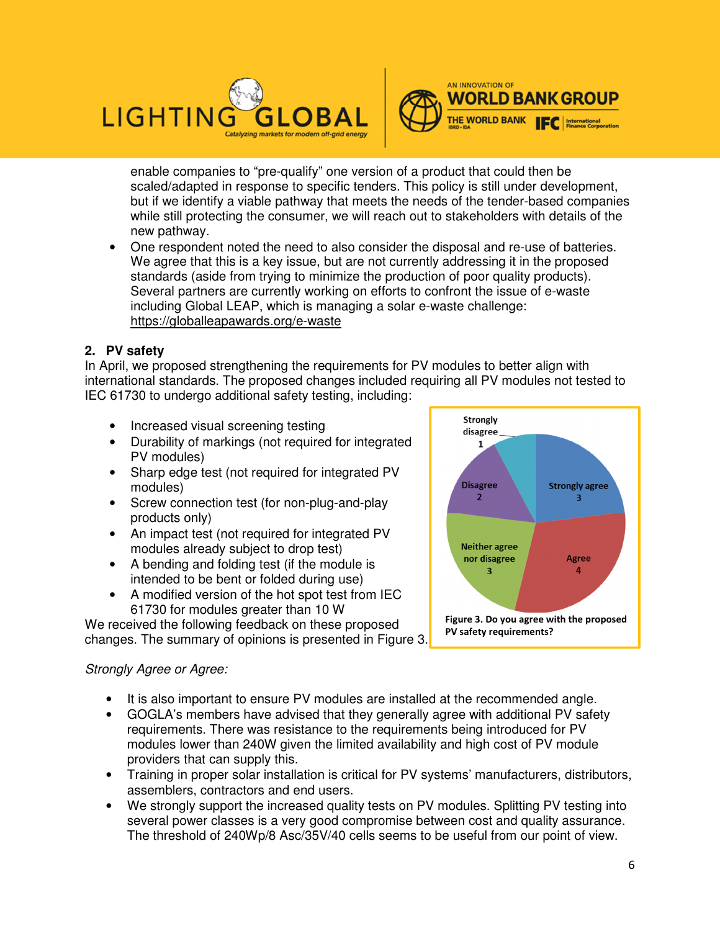



enable companies to "pre-qualify" one version of a product that could then be scaled/adapted in response to specific tenders. This policy is still under development, but if we identify a viable pathway that meets the needs of the tender-based companies while still protecting the consumer, we will reach out to stakeholders with details of the new pathway.

• One respondent noted the need to also consider the disposal and re-use of batteries. We agree that this is a key issue, but are not currently addressing it in the proposed standards (aside from trying to minimize the production of poor quality products). Several partners are currently working on efforts to confront the issue of e-waste including Global LEAP, which is managing a solar e-waste challenge: https://globalleapawards.org/e-waste

# **2. PV safety**

In April, we proposed strengthening the requirements for PV modules to better align with international standards. The proposed changes included requiring all PV modules not tested to IEC 61730 to undergo additional safety testing, including:

- Increased visual screening testing
- Durability of markings (not required for integrated PV modules)
- Sharp edge test (not required for integrated PV modules)
- Screw connection test (for non-plug-and-play products only)
- An impact test (not required for integrated PV modules already subject to drop test)
- A bending and folding test (if the module is intended to be bent or folded during use)
- A modified version of the hot spot test from IEC 61730 for modules greater than 10 W

We received the following feedback on these proposed changes. The summary of opinions is presented in Figure 3.

## Strongly Agree or Agree:

- It is also important to ensure PV modules are installed at the recommended angle.
- GOGLA's members have advised that they generally agree with additional PV safety requirements. There was resistance to the requirements being introduced for PV modules lower than 240W given the limited availability and high cost of PV module providers that can supply this.
- Training in proper solar installation is critical for PV systems' manufacturers, distributors, assemblers, contractors and end users.
- We strongly support the increased quality tests on PV modules. Splitting PV testing into several power classes is a very good compromise between cost and quality assurance. The threshold of 240Wp/8 Asc/35V/40 cells seems to be useful from our point of view.

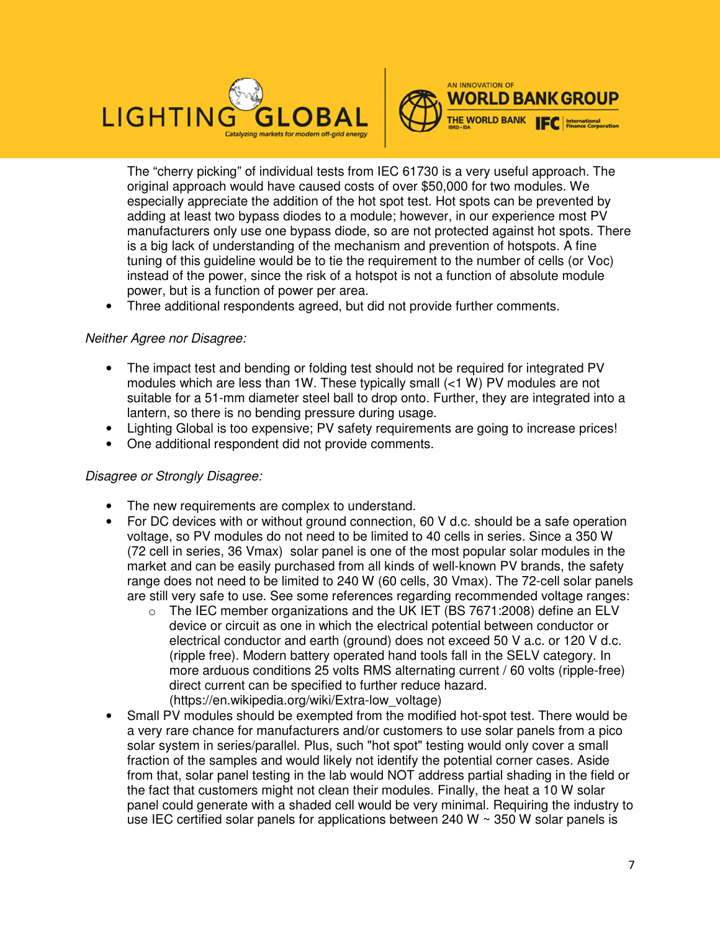



The "cherry picking" of individual tests from IEC 61730 is a very useful approach. The original approach would have caused costs of over \$50,000 for two modules. We especially appreciate the addition of the hot spot test. Hot spots can be prevented by adding at least two bypass diodes to a module; however, in our experience most PV manufacturers only use one bypass diode, so are not protected against hot spots. There is a big lack of understanding of the mechanism and prevention of hotspots. A fine tuning of this guideline would be to tie the requirement to the number of cells (or Voc) instead of the power, since the risk of a hotspot is not a function of absolute module power, but is a function of power per area.

• Three additional respondents agreed, but did not provide further comments.

# Neither Agree nor Disagree:

- The impact test and bending or folding test should not be required for integrated PV modules which are less than 1W. These typically small  $(1 \text{ W})$  PV modules are not suitable for a 51-mm diameter steel ball to drop onto. Further, they are integrated into a lantern, so there is no bending pressure during usage.
- Lighting Global is too expensive; PV safety requirements are going to increase prices!
- One additional respondent did not provide comments.

# Disagree or Strongly Disagree:

- The new requirements are complex to understand.
- For DC devices with or without ground connection, 60 V d.c. should be a safe operation voltage, so PV modules do not need to be limited to 40 cells in series. Since a 350 W (72 cell in series, 36 Vmax) solar panel is one of the most popular solar modules in the market and can be easily purchased from all kinds of well-known PV brands, the safety range does not need to be limited to 240 W (60 cells, 30 Vmax). The 72-cell solar panels are still very safe to use. See some references regarding recommended voltage ranges:
	- $\circ$  The IEC member organizations and the UK IET (BS 7671:2008) define an ELV device or circuit as one in which the electrical potential between conductor or electrical conductor and earth (ground) does not exceed 50 V a.c. or 120 V d.c. (ripple free). Modern battery operated hand tools fall in the SELV category. In more arduous conditions 25 volts RMS alternating current / 60 volts (ripple-free) direct current can be specified to further reduce hazard. (https://en.wikipedia.org/wiki/Extra-low\_voltage)
- Small PV modules should be exempted from the modified hot-spot test. There would be a very rare chance for manufacturers and/or customers to use solar panels from a pico solar system in series/parallel. Plus, such "hot spot" testing would only cover a small fraction of the samples and would likely not identify the potential corner cases. Aside from that, solar panel testing in the lab would NOT address partial shading in the field or the fact that customers might not clean their modules. Finally, the heat a 10 W solar panel could generate with a shaded cell would be very minimal. Requiring the industry to use IEC certified solar panels for applications between 240 W  $\sim$  350 W solar panels is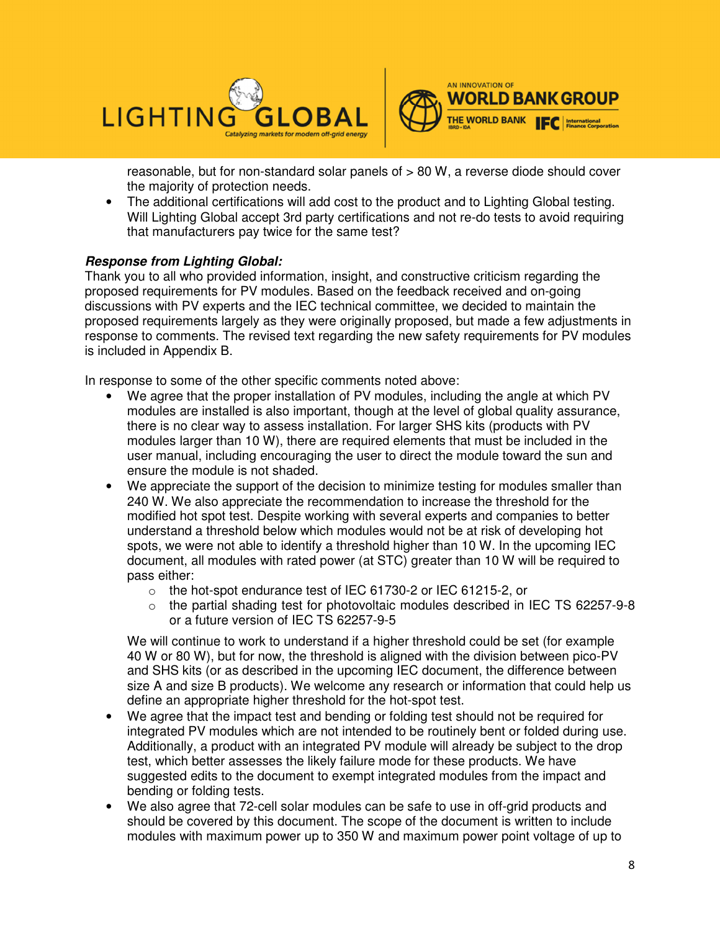



reasonable, but for non-standard solar panels of > 80 W, a reverse diode should cover the majority of protection needs.

• The additional certifications will add cost to the product and to Lighting Global testing. Will Lighting Global accept 3rd party certifications and not re-do tests to avoid requiring that manufacturers pay twice for the same test?

# **Response from Lighting Global:**

Thank you to all who provided information, insight, and constructive criticism regarding the proposed requirements for PV modules. Based on the feedback received and on-going discussions with PV experts and the IEC technical committee, we decided to maintain the proposed requirements largely as they were originally proposed, but made a few adjustments in response to comments. The revised text regarding the new safety requirements for PV modules is included in Appendix B.

In response to some of the other specific comments noted above:

- We agree that the proper installation of PV modules, including the angle at which PV modules are installed is also important, though at the level of global quality assurance, there is no clear way to assess installation. For larger SHS kits (products with PV modules larger than 10 W), there are required elements that must be included in the user manual, including encouraging the user to direct the module toward the sun and ensure the module is not shaded.
- We appreciate the support of the decision to minimize testing for modules smaller than 240 W. We also appreciate the recommendation to increase the threshold for the modified hot spot test. Despite working with several experts and companies to better understand a threshold below which modules would not be at risk of developing hot spots, we were not able to identify a threshold higher than 10 W. In the upcoming IEC document, all modules with rated power (at STC) greater than 10 W will be required to pass either:
	- o the hot-spot endurance test of IEC 61730-2 or IEC 61215-2, or
	- o the partial shading test for photovoltaic modules described in IEC TS 62257-9-8 or a future version of IEC TS 62257-9-5

We will continue to work to understand if a higher threshold could be set (for example 40 W or 80 W), but for now, the threshold is aligned with the division between pico-PV and SHS kits (or as described in the upcoming IEC document, the difference between size A and size B products). We welcome any research or information that could help us define an appropriate higher threshold for the hot-spot test.

- We agree that the impact test and bending or folding test should not be required for integrated PV modules which are not intended to be routinely bent or folded during use. Additionally, a product with an integrated PV module will already be subject to the drop test, which better assesses the likely failure mode for these products. We have suggested edits to the document to exempt integrated modules from the impact and bending or folding tests.
- We also agree that 72-cell solar modules can be safe to use in off-grid products and should be covered by this document. The scope of the document is written to include modules with maximum power up to 350 W and maximum power point voltage of up to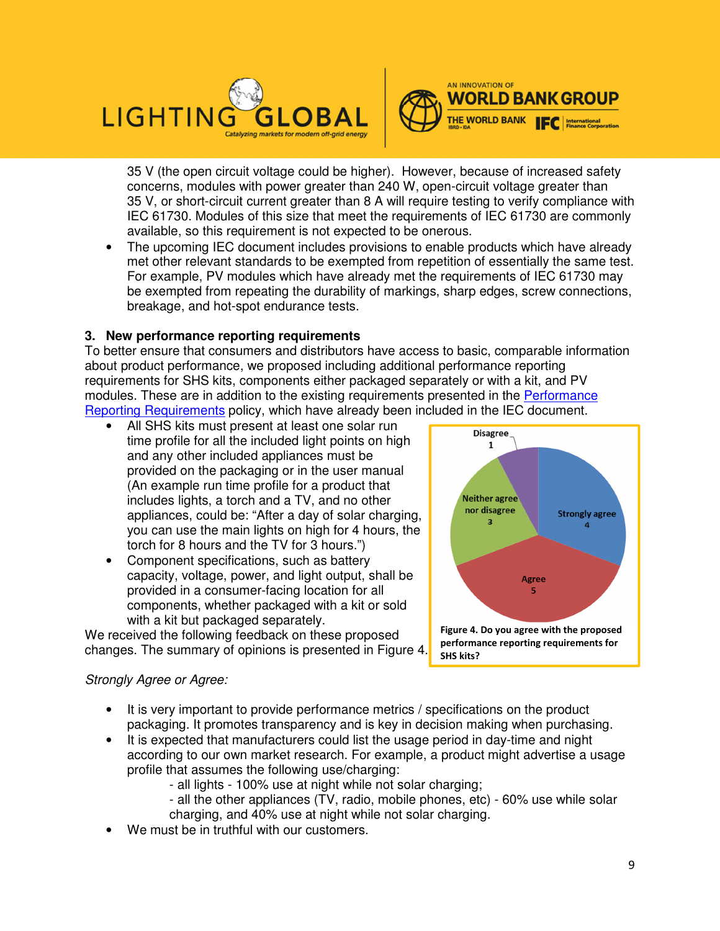



35 V (the open circuit voltage could be higher). However, because of increased safety concerns, modules with power greater than 240 W, open-circuit voltage greater than 35 V, or short-circuit current greater than 8 A will require testing to verify compliance with IEC 61730. Modules of this size that meet the requirements of IEC 61730 are commonly available, so this requirement is not expected to be onerous.

• The upcoming IEC document includes provisions to enable products which have already met other relevant standards to be exempted from repetition of essentially the same test. For example, PV modules which have already met the requirements of IEC 61730 may be exempted from repeating the durability of markings, sharp edges, screw connections, breakage, and hot-spot endurance tests.

# **3. New performance reporting requirements**

To better ensure that consumers and distributors have access to basic, comparable information about product performance, we proposed including additional performance reporting requirements for SHS kits, components either packaged separately or with a kit, and PV modules. These are in addition to the existing requirements presented in the Performance Reporting Requirements policy, which have already been included in the IEC document.

- All SHS kits must present at least one solar run time profile for all the included light points on high and any other included appliances must be provided on the packaging or in the user manual (An example run time profile for a product that includes lights, a torch and a TV, and no other appliances, could be: "After a day of solar charging, you can use the main lights on high for 4 hours, the torch for 8 hours and the TV for 3 hours.")
- Component specifications, such as battery capacity, voltage, power, and light output, shall be provided in a consumer-facing location for all components, whether packaged with a kit or sold with a kit but packaged separately.

We received the following feedback on these proposed changes. The summary of opinions is presented in Figure 4.



## Strongly Agree or Agree:

- It is very important to provide performance metrics / specifications on the product packaging. It promotes transparency and is key in decision making when purchasing.
- It is expected that manufacturers could list the usage period in day-time and night according to our own market research. For example, a product might advertise a usage profile that assumes the following use/charging:
	- all lights 100% use at night while not solar charging;
	- all the other appliances (TV, radio, mobile phones, etc) 60% use while solar charging, and 40% use at night while not solar charging.
- We must be in truthful with our customers.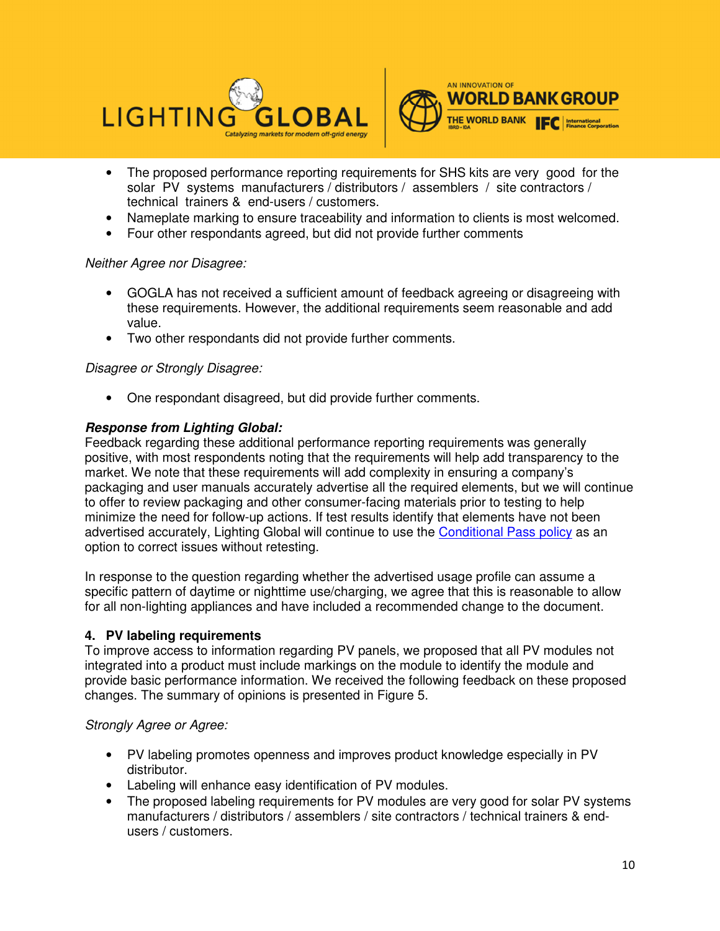



- The proposed performance reporting requirements for SHS kits are very good for the solar PV systems manufacturers / distributors / assemblers / site contractors / technical trainers & end-users / customers.
- Nameplate marking to ensure traceability and information to clients is most welcomed.
- Four other respondants agreed, but did not provide further comments

## Neither Agree nor Disagree:

- GOGLA has not received a sufficient amount of feedback agreeing or disagreeing with these requirements. However, the additional requirements seem reasonable and add value.
- Two other respondants did not provide further comments.

## Disagree or Strongly Disagree:

• One respondant disagreed, but did provide further comments.

# **Response from Lighting Global:**

Feedback regarding these additional performance reporting requirements was generally positive, with most respondents noting that the requirements will help add transparency to the market. We note that these requirements will add complexity in ensuring a company's packaging and user manuals accurately advertise all the required elements, but we will continue to offer to review packaging and other consumer-facing materials prior to testing to help minimize the need for follow-up actions. If test results identify that elements have not been advertised accurately, Lighting Global will continue to use the Conditional Pass policy as an option to correct issues without retesting.

In response to the question regarding whether the advertised usage profile can assume a specific pattern of daytime or nighttime use/charging, we agree that this is reasonable to allow for all non-lighting appliances and have included a recommended change to the document.

## **4. PV labeling requirements**

To improve access to information regarding PV panels, we proposed that all PV modules not integrated into a product must include markings on the module to identify the module and provide basic performance information. We received the following feedback on these proposed changes. The summary of opinions is presented in Figure 5.

## Strongly Agree or Agree:

- PV labeling promotes openness and improves product knowledge especially in PV distributor.
- Labeling will enhance easy identification of PV modules.
- The proposed labeling requirements for PV modules are very good for solar PV systems manufacturers / distributors / assemblers / site contractors / technical trainers & endusers / customers.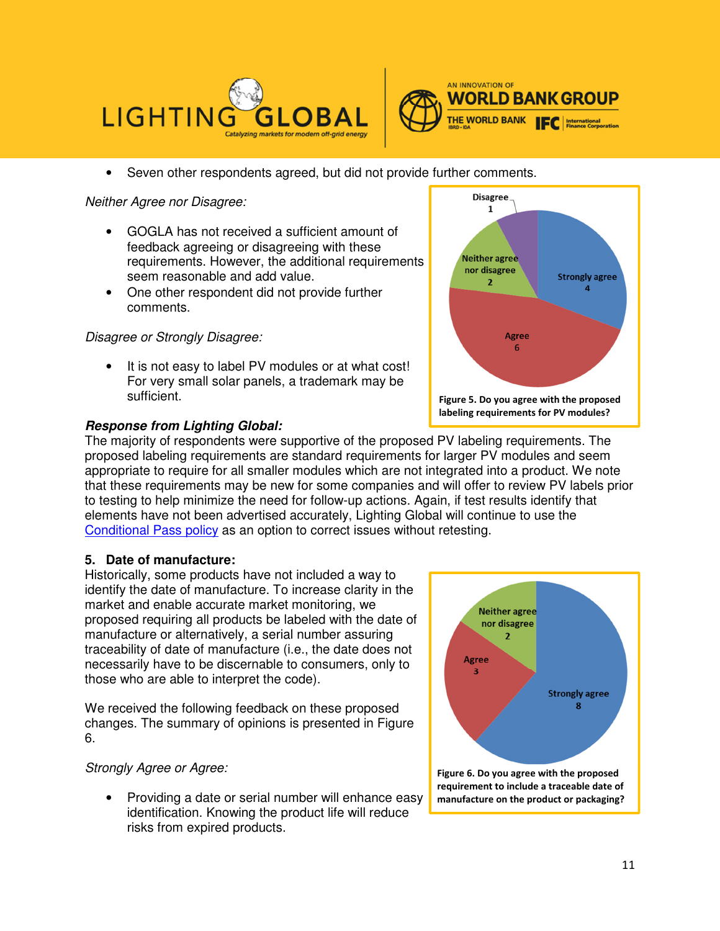



• Seven other respondents agreed, but did not provide further comments.

Neither Agree nor Disagree:

- GOGLA has not received a sufficient amount of feedback agreeing or disagreeing with these requirements. However, the additional requirements seem reasonable and add value.
- One other respondent did not provide further comments.

Disagree or Strongly Disagree:

It is not easy to label PV modules or at what cost! For very small solar panels, a trademark may be sufficient.

# **Disagree**  $\mathbf{1}$ **Neither agree** nor disagree **Strongly agree**  $\overline{2}$ 4 Agree 6 **Figure 5. Do you agree with the proposed labeling requirements for PV modules?**

#### **Response from Lighting Global:**

The majority of respondents were supportive of the proposed PV labeling requirements. The proposed labeling requirements are standard requirements for larger PV modules and seem appropriate to require for all smaller modules which are not integrated into a product. We note that these requirements may be new for some companies and will offer to review PV labels prior to testing to help minimize the need for follow-up actions. Again, if test results identify that elements have not been advertised accurately, Lighting Global will continue to use the Conditional Pass policy as an option to correct issues without retesting.

# **5. Date of manufacture:**

Historically, some products have not included a way to identify the date of manufacture. To increase clarity in the market and enable accurate market monitoring, we proposed requiring all products be labeled with the date of manufacture or alternatively, a serial number assuring traceability of date of manufacture (i.e., the date does not necessarily have to be discernable to consumers, only to those who are able to interpret the code).

We received the following feedback on these proposed changes. The summary of opinions is presented in Figure 6.

## Strongly Agree or Agree:

• Providing a date or serial number will enhance easy identification. Knowing the product life will reduce risks from expired products.

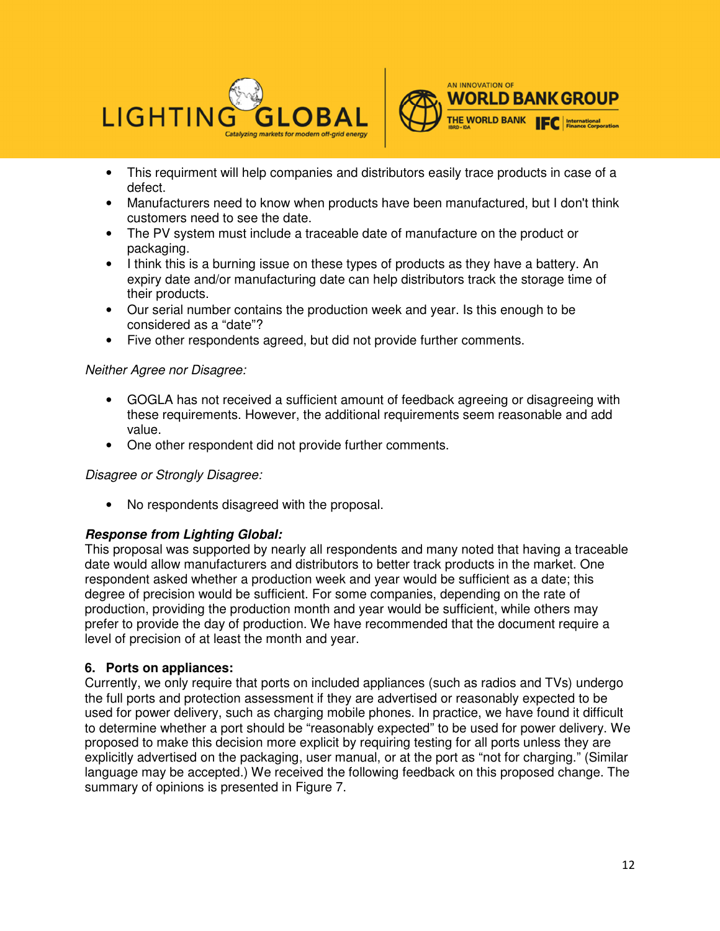



- This requirment will help companies and distributors easily trace products in case of a defect.
- Manufacturers need to know when products have been manufactured, but I don't think customers need to see the date.
- The PV system must include a traceable date of manufacture on the product or packaging.
- I think this is a burning issue on these types of products as they have a battery. An expiry date and/or manufacturing date can help distributors track the storage time of their products.
- Our serial number contains the production week and year. Is this enough to be considered as a "date"?
- Five other respondents agreed, but did not provide further comments.

## Neither Agree nor Disagree:

- GOGLA has not received a sufficient amount of feedback agreeing or disagreeing with these requirements. However, the additional requirements seem reasonable and add value.
- One other respondent did not provide further comments.

## Disagree or Strongly Disagree:

• No respondents disagreed with the proposal.

## **Response from Lighting Global:**

This proposal was supported by nearly all respondents and many noted that having a traceable date would allow manufacturers and distributors to better track products in the market. One respondent asked whether a production week and year would be sufficient as a date; this degree of precision would be sufficient. For some companies, depending on the rate of production, providing the production month and year would be sufficient, while others may prefer to provide the day of production. We have recommended that the document require a level of precision of at least the month and year.

## **6. Ports on appliances:**

Currently, we only require that ports on included appliances (such as radios and TVs) undergo the full ports and protection assessment if they are advertised or reasonably expected to be used for power delivery, such as charging mobile phones. In practice, we have found it difficult to determine whether a port should be "reasonably expected" to be used for power delivery. We proposed to make this decision more explicit by requiring testing for all ports unless they are explicitly advertised on the packaging, user manual, or at the port as "not for charging." (Similar language may be accepted.) We received the following feedback on this proposed change. The summary of opinions is presented in Figure 7.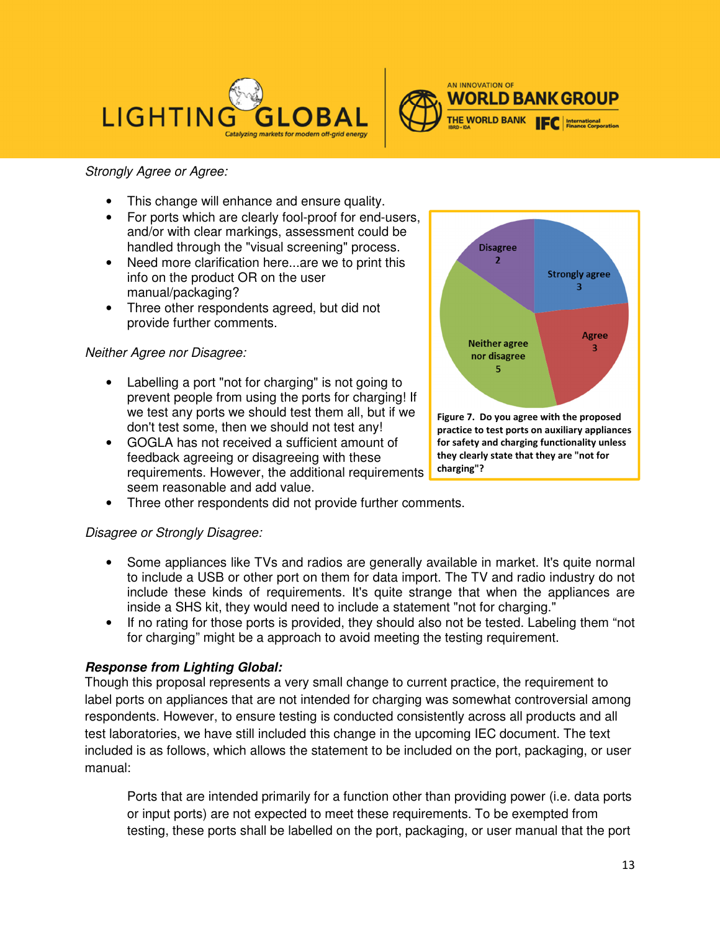



# Strongly Agree or Agree:

- This change will enhance and ensure quality.
- For ports which are clearly fool-proof for end-users, and/or with clear markings, assessment could be handled through the "visual screening" process.
- Need more clarification here...are we to print this info on the product OR on the user manual/packaging?
- Three other respondents agreed, but did not provide further comments.

# Neither Agree nor Disagree:

- Labelling a port "not for charging" is not going to prevent people from using the ports for charging! If we test any ports we should test them all, but if we don't test some, then we should not test any!
- GOGLA has not received a sufficient amount of feedback agreeing or disagreeing with these requirements. However, the additional requirements seem reasonable and add value.
- Three other respondents did not provide further comments.

# Disagree or Strongly Disagree:

- Some appliances like TVs and radios are generally available in market. It's quite normal to include a USB or other port on them for data import. The TV and radio industry do not include these kinds of requirements. It's quite strange that when the appliances are inside a SHS kit, they would need to include a statement "not for charging."
- If no rating for those ports is provided, they should also not be tested. Labeling them "not for charging" might be a approach to avoid meeting the testing requirement.

# **Response from Lighting Global:**

Though this proposal represents a very small change to current practice, the requirement to label ports on appliances that are not intended for charging was somewhat controversial among respondents. However, to ensure testing is conducted consistently across all products and all test laboratories, we have still included this change in the upcoming IEC document. The text included is as follows, which allows the statement to be included on the port, packaging, or user manual:

Ports that are intended primarily for a function other than providing power (i.e. data ports or input ports) are not expected to meet these requirements. To be exempted from testing, these ports shall be labelled on the port, packaging, or user manual that the port

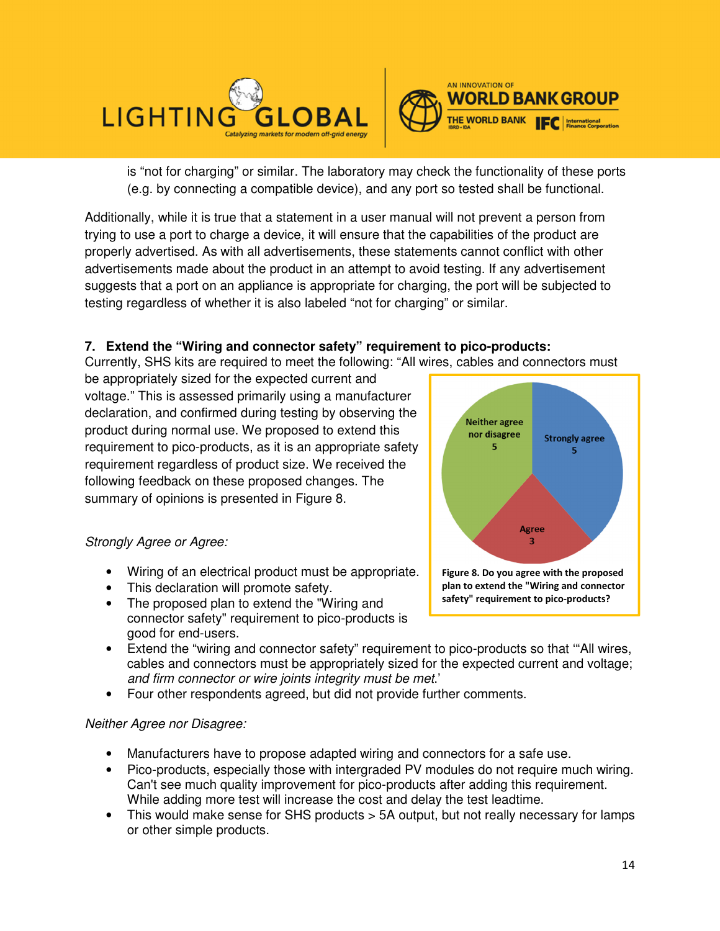



is "not for charging" or similar. The laboratory may check the functionality of these ports (e.g. by connecting a compatible device), and any port so tested shall be functional.

Additionally, while it is true that a statement in a user manual will not prevent a person from trying to use a port to charge a device, it will ensure that the capabilities of the product are properly advertised. As with all advertisements, these statements cannot conflict with other advertisements made about the product in an attempt to avoid testing. If any advertisement suggests that a port on an appliance is appropriate for charging, the port will be subjected to testing regardless of whether it is also labeled "not for charging" or similar.

# **7. Extend the "Wiring and connector safety" requirement to pico-products:**

Currently, SHS kits are required to meet the following: "All wires, cables and connectors must

be appropriately sized for the expected current and voltage." This is assessed primarily using a manufacturer declaration, and confirmed during testing by observing the product during normal use. We proposed to extend this requirement to pico-products, as it is an appropriate safety requirement regardless of product size. We received the following feedback on these proposed changes. The summary of opinions is presented in Figure 8.

# Strongly Agree or Agree:

- Wiring of an electrical product must be appropriate.
- This declaration will promote safety.
- The proposed plan to extend the "Wiring and connector safety" requirement to pico-products is good for end-users.
- Extend the "wiring and connector safety" requirement to pico-products so that '"All wires, cables and connectors must be appropriately sized for the expected current and voltage; and firm connector or wire joints integrity must be met.'
- Four other respondents agreed, but did not provide further comments.

# Neither Agree nor Disagree:

- Manufacturers have to propose adapted wiring and connectors for a safe use.
- Pico-products, especially those with intergraded PV modules do not require much wiring. Can't see much quality improvement for pico-products after adding this requirement. While adding more test will increase the cost and delay the test leadtime.
- This would make sense for SHS products > 5A output, but not really necessary for lamps or other simple products.

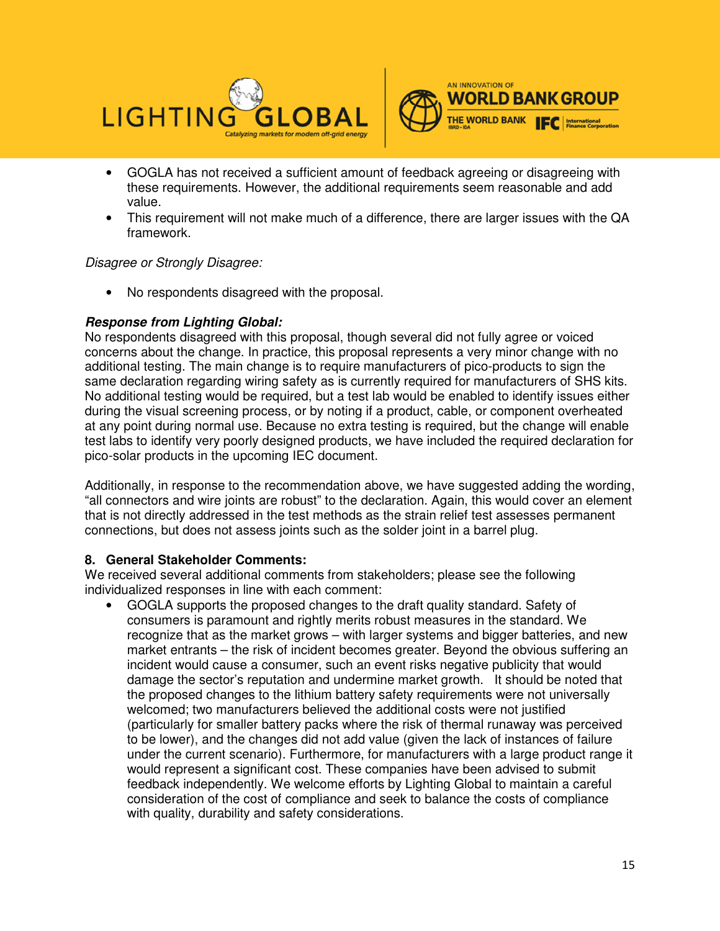



- GOGLA has not received a sufficient amount of feedback agreeing or disagreeing with these requirements. However, the additional requirements seem reasonable and add value.
- This requirement will not make much of a difference, there are larger issues with the QA framework.

## Disagree or Strongly Disagree:

• No respondents disagreed with the proposal.

# **Response from Lighting Global:**

No respondents disagreed with this proposal, though several did not fully agree or voiced concerns about the change. In practice, this proposal represents a very minor change with no additional testing. The main change is to require manufacturers of pico-products to sign the same declaration regarding wiring safety as is currently required for manufacturers of SHS kits. No additional testing would be required, but a test lab would be enabled to identify issues either during the visual screening process, or by noting if a product, cable, or component overheated at any point during normal use. Because no extra testing is required, but the change will enable test labs to identify very poorly designed products, we have included the required declaration for pico-solar products in the upcoming IEC document.

Additionally, in response to the recommendation above, we have suggested adding the wording, "all connectors and wire joints are robust" to the declaration. Again, this would cover an element that is not directly addressed in the test methods as the strain relief test assesses permanent connections, but does not assess joints such as the solder joint in a barrel plug.

## **8. General Stakeholder Comments:**

We received several additional comments from stakeholders; please see the following individualized responses in line with each comment:

• GOGLA supports the proposed changes to the draft quality standard. Safety of consumers is paramount and rightly merits robust measures in the standard. We recognize that as the market grows – with larger systems and bigger batteries, and new market entrants – the risk of incident becomes greater. Beyond the obvious suffering an incident would cause a consumer, such an event risks negative publicity that would damage the sector's reputation and undermine market growth. It should be noted that the proposed changes to the lithium battery safety requirements were not universally welcomed; two manufacturers believed the additional costs were not justified (particularly for smaller battery packs where the risk of thermal runaway was perceived to be lower), and the changes did not add value (given the lack of instances of failure under the current scenario). Furthermore, for manufacturers with a large product range it would represent a significant cost. These companies have been advised to submit feedback independently. We welcome efforts by Lighting Global to maintain a careful consideration of the cost of compliance and seek to balance the costs of compliance with quality, durability and safety considerations.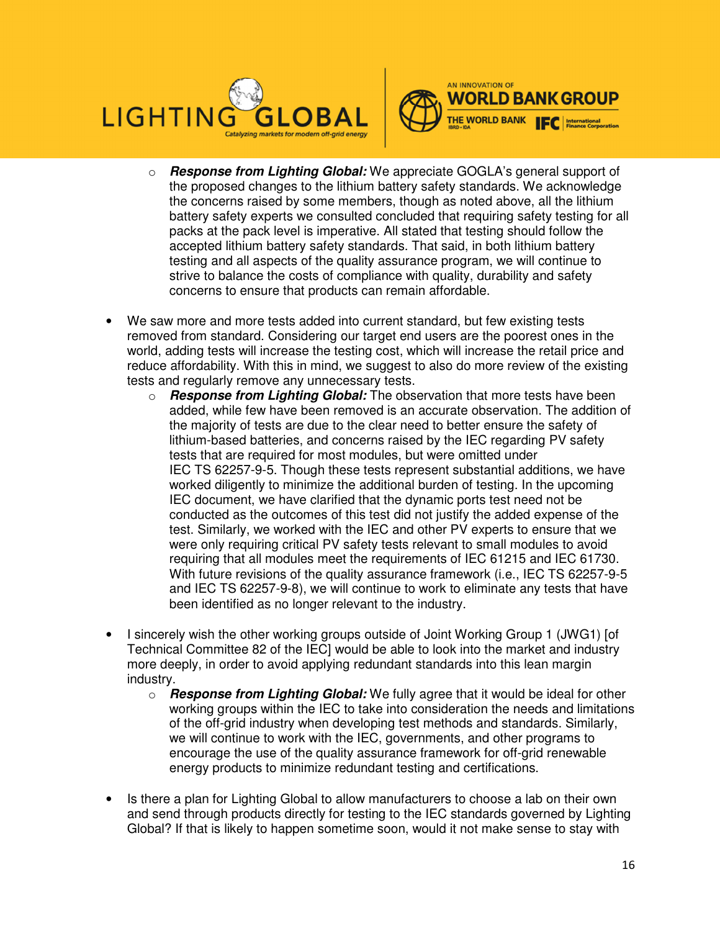



- o **Response from Lighting Global:** We appreciate GOGLA's general support of the proposed changes to the lithium battery safety standards. We acknowledge the concerns raised by some members, though as noted above, all the lithium battery safety experts we consulted concluded that requiring safety testing for all packs at the pack level is imperative. All stated that testing should follow the accepted lithium battery safety standards. That said, in both lithium battery testing and all aspects of the quality assurance program, we will continue to strive to balance the costs of compliance with quality, durability and safety concerns to ensure that products can remain affordable.
- We saw more and more tests added into current standard, but few existing tests removed from standard. Considering our target end users are the poorest ones in the world, adding tests will increase the testing cost, which will increase the retail price and reduce affordability. With this in mind, we suggest to also do more review of the existing tests and regularly remove any unnecessary tests.
	- o **Response from Lighting Global:** The observation that more tests have been added, while few have been removed is an accurate observation. The addition of the majority of tests are due to the clear need to better ensure the safety of lithium-based batteries, and concerns raised by the IEC regarding PV safety tests that are required for most modules, but were omitted under IEC TS 62257-9-5. Though these tests represent substantial additions, we have worked diligently to minimize the additional burden of testing. In the upcoming IEC document, we have clarified that the dynamic ports test need not be conducted as the outcomes of this test did not justify the added expense of the test. Similarly, we worked with the IEC and other PV experts to ensure that we were only requiring critical PV safety tests relevant to small modules to avoid requiring that all modules meet the requirements of IEC 61215 and IEC 61730. With future revisions of the quality assurance framework (i.e., IEC TS 62257-9-5 and IEC TS 62257-9-8), we will continue to work to eliminate any tests that have been identified as no longer relevant to the industry.
- I sincerely wish the other working groups outside of Joint Working Group 1 (JWG1) [of Technical Committee 82 of the IEC] would be able to look into the market and industry more deeply, in order to avoid applying redundant standards into this lean margin industry.
	- o **Response from Lighting Global:** We fully agree that it would be ideal for other working groups within the IEC to take into consideration the needs and limitations of the off-grid industry when developing test methods and standards. Similarly, we will continue to work with the IEC, governments, and other programs to encourage the use of the quality assurance framework for off-grid renewable energy products to minimize redundant testing and certifications.
- Is there a plan for Lighting Global to allow manufacturers to choose a lab on their own and send through products directly for testing to the IEC standards governed by Lighting Global? If that is likely to happen sometime soon, would it not make sense to stay with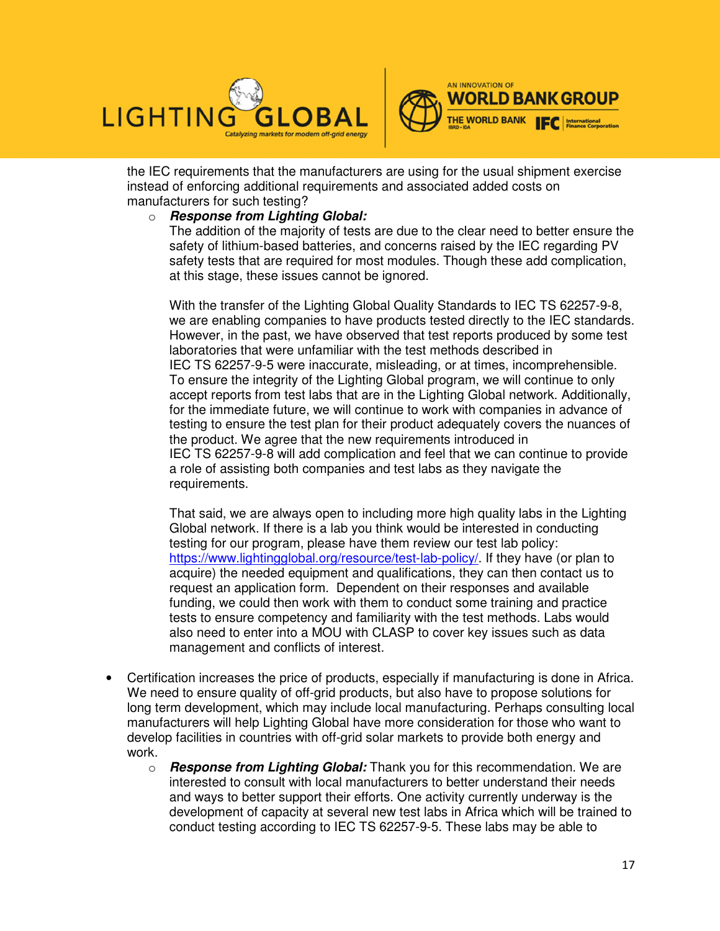



the IEC requirements that the manufacturers are using for the usual shipment exercise instead of enforcing additional requirements and associated added costs on manufacturers for such testing?

#### o **Response from Lighting Global:**

The addition of the majority of tests are due to the clear need to better ensure the safety of lithium-based batteries, and concerns raised by the IEC regarding PV safety tests that are required for most modules. Though these add complication, at this stage, these issues cannot be ignored.

With the transfer of the Lighting Global Quality Standards to IEC TS 62257-9-8, we are enabling companies to have products tested directly to the IEC standards. However, in the past, we have observed that test reports produced by some test laboratories that were unfamiliar with the test methods described in IEC TS 62257-9-5 were inaccurate, misleading, or at times, incomprehensible. To ensure the integrity of the Lighting Global program, we will continue to only accept reports from test labs that are in the Lighting Global network. Additionally, for the immediate future, we will continue to work with companies in advance of testing to ensure the test plan for their product adequately covers the nuances of the product. We agree that the new requirements introduced in IEC TS 62257-9-8 will add complication and feel that we can continue to provide a role of assisting both companies and test labs as they navigate the requirements.

That said, we are always open to including more high quality labs in the Lighting Global network. If there is a lab you think would be interested in conducting testing for our program, please have them review our test lab policy: https://www.lightingglobal.org/resource/test-lab-policy/. If they have (or plan to acquire) the needed equipment and qualifications, they can then contact us to request an application form. Dependent on their responses and available funding, we could then work with them to conduct some training and practice tests to ensure competency and familiarity with the test methods. Labs would also need to enter into a MOU with CLASP to cover key issues such as data management and conflicts of interest.

- Certification increases the price of products, especially if manufacturing is done in Africa. We need to ensure quality of off-grid products, but also have to propose solutions for long term development, which may include local manufacturing. Perhaps consulting local manufacturers will help Lighting Global have more consideration for those who want to develop facilities in countries with off-grid solar markets to provide both energy and work.
	- o **Response from Lighting Global:** Thank you for this recommendation. We are interested to consult with local manufacturers to better understand their needs and ways to better support their efforts. One activity currently underway is the development of capacity at several new test labs in Africa which will be trained to conduct testing according to IEC TS 62257-9-5. These labs may be able to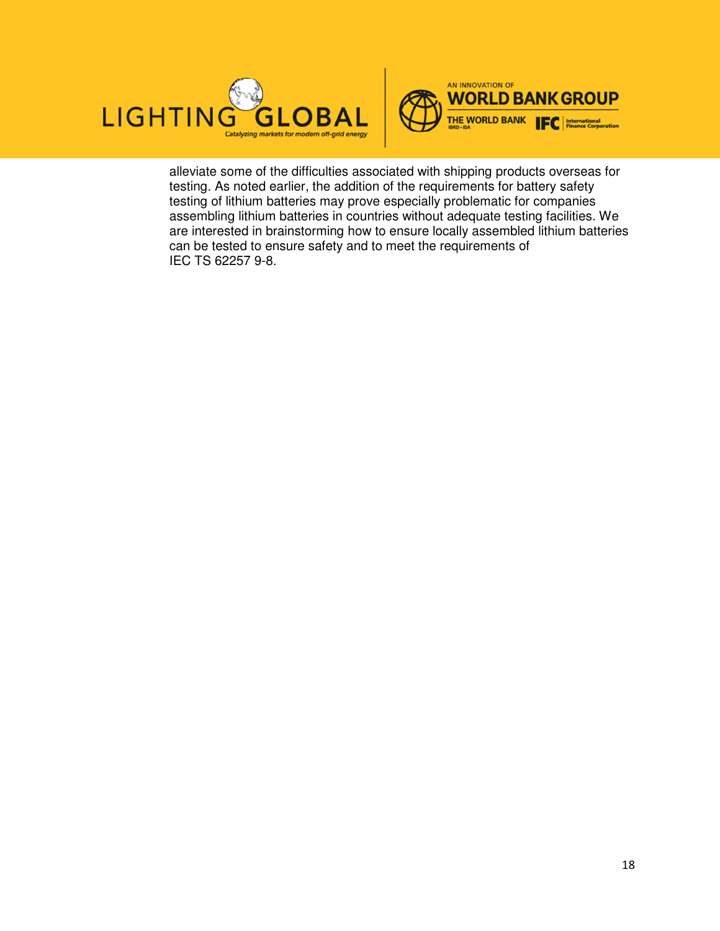



alleviate some of the difficulties associated with shipping products overseas for testing. As noted earlier, the addition of the requirements for battery safety testing of lithium batteries may prove especially problematic for companies assembling lithium batteries in countries without adequate testing facilities. We are interested in brainstorming how to ensure locally assembled lithium batteries can be tested to ensure safety and to meet the requirements of IEC TS 62257 9-8.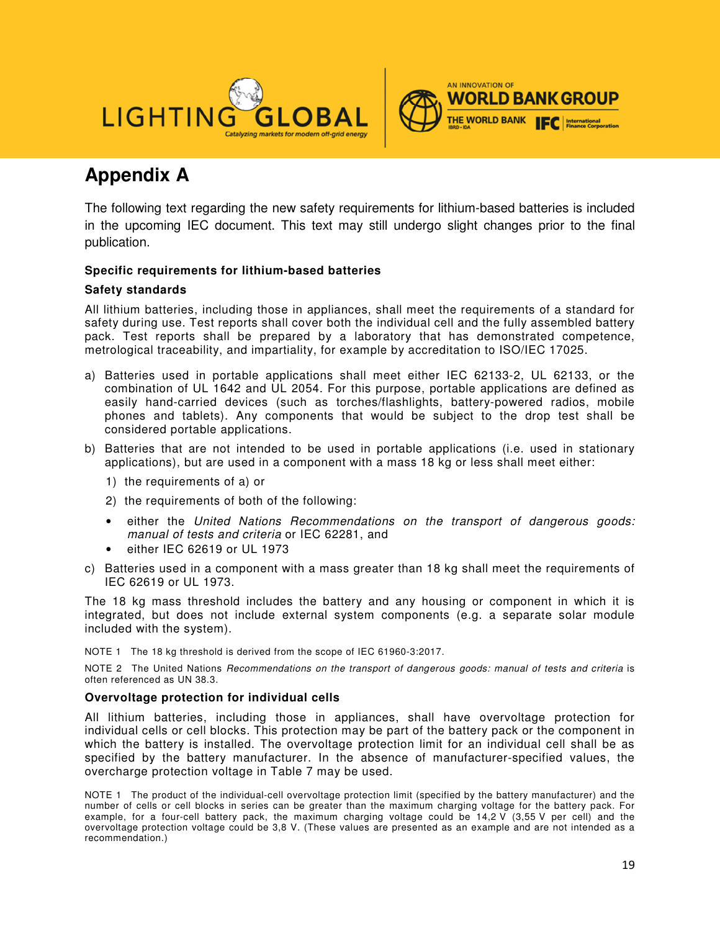



# **Appendix A**

The following text regarding the new safety requirements for lithium-based batteries is included in the upcoming IEC document. This text may still undergo slight changes prior to the final publication.

#### **Specific requirements for lithium-based batteries**

#### **Safety standards**

All lithium batteries, including those in appliances, shall meet the requirements of a standard for safety during use. Test reports shall cover both the individual cell and the fully assembled battery pack. Test reports shall be prepared by a laboratory that has demonstrated competence, metrological traceability, and impartiality, for example by accreditation to ISO/IEC 17025.

- a) Batteries used in portable applications shall meet either IEC 62133-2, UL 62133, or the combination of UL 1642 and UL 2054. For this purpose, portable applications are defined as easily hand-carried devices (such as torches/flashlights, battery-powered radios, mobile phones and tablets). Any components that would be subject to the drop test shall be considered portable applications.
- b) Batteries that are not intended to be used in portable applications (i.e. used in stationary applications), but are used in a component with a mass 18 kg or less shall meet either:
	- 1) the requirements of a) or
	- 2) the requirements of both of the following:
	- either the United Nations Recommendations on the transport of dangerous goods: manual of tests and criteria or IEC 62281, and
	- either IEC 62619 or UL 1973
- c) Batteries used in a component with a mass greater than 18 kg shall meet the requirements of IEC 62619 or UL 1973.

The 18 kg mass threshold includes the battery and any housing or component in which it is integrated, but does not include external system components (e.g. a separate solar module included with the system).

NOTE 1 The 18 kg threshold is derived from the scope of IEC 61960-3:2017.

NOTE 2 The United Nations Recommendations on the transport of dangerous goods: manual of tests and criteria is often referenced as UN 38.3.

#### **Overvoltage protection for individual cells**

All lithium batteries, including those in appliances, shall have overvoltage protection for individual cells or cell blocks. This protection may be part of the battery pack or the component in which the battery is installed. The overvoltage protection limit for an individual cell shall be as specified by the battery manufacturer. In the absence of manufacturer-specified values, the overcharge protection voltage in Table 7 may be used.

NOTE 1 The product of the individual-cell overvoltage protection limit (specified by the battery manufacturer) and the number of cells or cell blocks in series can be greater than the maximum charging voltage for the battery pack. For example, for a four-cell battery pack, the maximum charging voltage could be 14,2 V (3,55 V per cell) and the overvoltage protection voltage could be 3,8 V. (These values are presented as an example and are not intended as a recommendation.)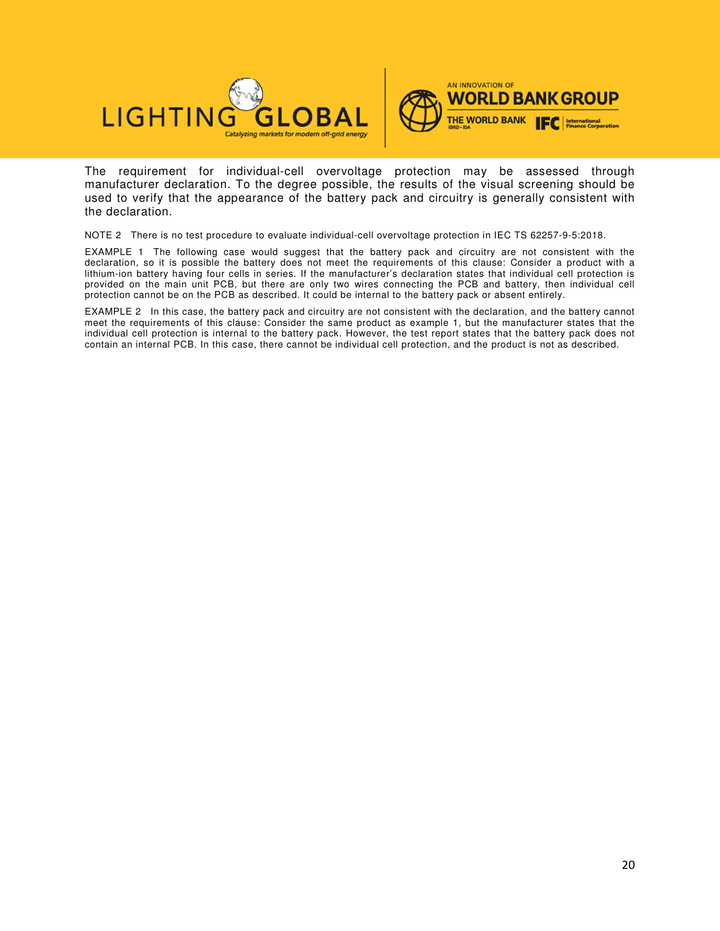



The requirement for individual-cell overvoltage protection may be assessed through manufacturer declaration. To the degree possible, the results of the visual screening should be used to verify that the appearance of the battery pack and circuitry is generally consistent with the declaration.

NOTE 2 There is no test procedure to evaluate individual-cell overvoltage protection in IEC TS 62257-9-5:2018.

EXAMPLE 1 The following case would suggest that the battery pack and circuitry are not consistent with the declaration, so it is possible the battery does not meet the requirements of this clause: Consider a product with a lithium-ion battery having four cells in series. If the manufacturer's declaration states that individual cell protection is provided on the main unit PCB, but there are only two wires connecting the PCB and battery, then individual cell protection cannot be on the PCB as described. It could be internal to the battery pack or absent entirely.

EXAMPLE 2 In this case, the battery pack and circuitry are not consistent with the declaration, and the battery cannot meet the requirements of this clause: Consider the same product as example 1, but the manufacturer states that the individual cell protection is internal to the battery pack. However, the test report states that the battery pack does not contain an internal PCB. In this case, there cannot be individual cell protection, and the product is not as described.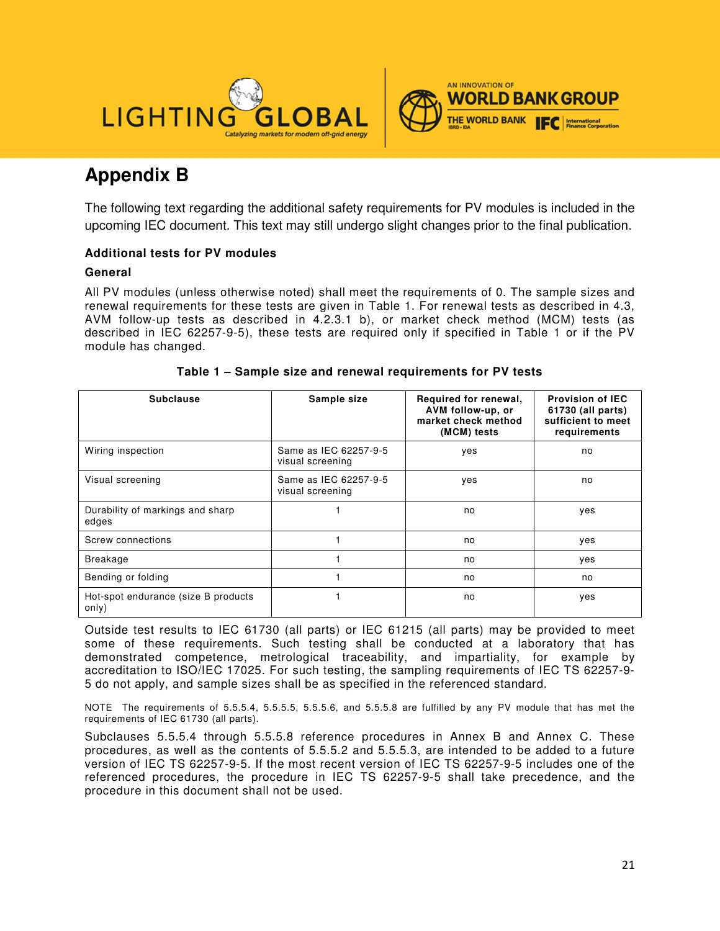



# **Appendix B**

The following text regarding the additional safety requirements for PV modules is included in the upcoming IEC document. This text may still undergo slight changes prior to the final publication.

## **Additional tests for PV modules**

#### **General**

All PV modules (unless otherwise noted) shall meet the requirements of 0. The sample sizes and renewal requirements for these tests are given in Table 1. For renewal tests as described in 4.3, AVM follow-up tests as described in 4.2.3.1 b), or market check method (MCM) tests (as described in IEC 62257-9-5), these tests are required only if specified in Table 1 or if the PV module has changed.

| <b>Subclause</b>                             | Sample size                               | Required for renewal,<br>AVM follow-up, or<br>market check method<br>(MCM) tests | <b>Provision of IEC</b><br>61730 (all parts)<br>sufficient to meet<br>requirements |
|----------------------------------------------|-------------------------------------------|----------------------------------------------------------------------------------|------------------------------------------------------------------------------------|
| Wiring inspection                            | Same as IEC 62257-9-5<br>visual screening | yes                                                                              | no                                                                                 |
| Visual screening                             | Same as IEC 62257-9-5<br>visual screening | yes                                                                              | no                                                                                 |
| Durability of markings and sharp<br>edges    |                                           | no                                                                               | yes                                                                                |
| Screw connections                            |                                           | no                                                                               | yes                                                                                |
| Breakage                                     |                                           | no                                                                               | yes                                                                                |
| Bending or folding                           |                                           | no                                                                               | no                                                                                 |
| Hot-spot endurance (size B products<br>only) |                                           | no                                                                               | yes                                                                                |

#### **Table 1 – Sample size and renewal requirements for PV tests**

Outside test results to IEC 61730 (all parts) or IEC 61215 (all parts) may be provided to meet some of these requirements. Such testing shall be conducted at a laboratory that has demonstrated competence, metrological traceability, and impartiality, for example by accreditation to ISO/IEC 17025. For such testing, the sampling requirements of IEC TS 62257-9- 5 do not apply, and sample sizes shall be as specified in the referenced standard.

NOTE The requirements of 5.5.5.4, 5.5.5.5, 5.5.5.6, and 5.5.5.8 are fulfilled by any PV module that has met the requirements of IEC 61730 (all parts).

Subclauses 5.5.5.4 through 5.5.5.8 reference procedures in Annex B and Annex C. These procedures, as well as the contents of 5.5.5.2 and 5.5.5.3, are intended to be added to a future version of IEC TS 62257-9-5. If the most recent version of IEC TS 62257-9-5 includes one of the referenced procedures, the procedure in IEC TS 62257-9-5 shall take precedence, and the procedure in this document shall not be used.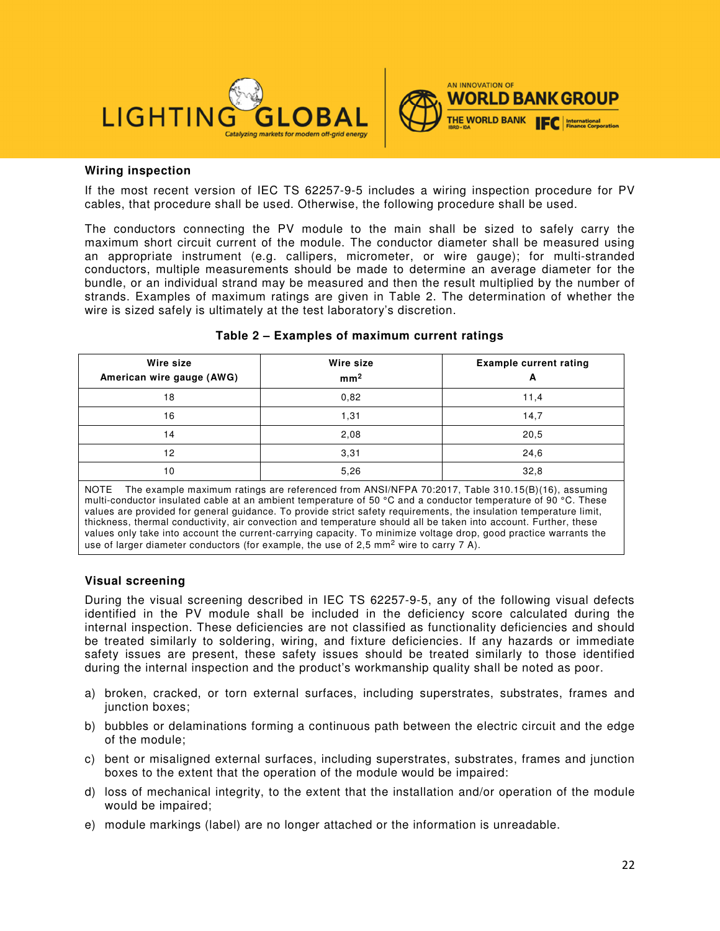



#### **Wiring inspection**

If the most recent version of IEC TS 62257-9-5 includes a wiring inspection procedure for PV cables, that procedure shall be used. Otherwise, the following procedure shall be used.

The conductors connecting the PV module to the main shall be sized to safely carry the maximum short circuit current of the module. The conductor diameter shall be measured using an appropriate instrument (e.g. callipers, micrometer, or wire gauge); for multi-stranded conductors, multiple measurements should be made to determine an average diameter for the bundle, or an individual strand may be measured and then the result multiplied by the number of strands. Examples of maximum ratings are given in Table 2. The determination of whether the wire is sized safely is ultimately at the test laboratory's discretion.

| Wire size<br>American wire gauge (AWG) | Wire size<br>mm <sup>2</sup> | <b>Example current rating</b><br>А                                                                |
|----------------------------------------|------------------------------|---------------------------------------------------------------------------------------------------|
| 18                                     | 0.82                         | 11,4                                                                                              |
| 16                                     | 1,31                         | 14,7                                                                                              |
| 14                                     | 2,08                         | 20,5                                                                                              |
| 12                                     | 3,31                         | 24,6                                                                                              |
| 10                                     | 5,26                         | 32,8                                                                                              |
| <b>NOTE</b>                            |                              | The example maximum ratings are referenced from ANSI/NEPA 70:2017, Table 310, 15(B)(16), assuming |

#### **Table 2 – Examples of maximum current ratings**

The example maximum ratings are referenced from ANSI/NFPA 70:2017, Table 310.15(B)(1 multi-conductor insulated cable at an ambient temperature of 50 °C and a conductor temperature of 90 °C. These values are provided for general guidance. To provide strict safety requirements, the insulation temperature limit, thickness, thermal conductivity, air convection and temperature should all be taken into account. Further, these values only take into account the current-carrying capacity. To minimize voltage drop, good practice warrants the use of larger diameter conductors (for example, the use of 2,5 mm<sup>2</sup> wire to carry 7 A).

#### **Visual screening**

During the visual screening described in IEC TS 62257-9-5, any of the following visual defects identified in the PV module shall be included in the deficiency score calculated during the internal inspection. These deficiencies are not classified as functionality deficiencies and should be treated similarly to soldering, wiring, and fixture deficiencies. If any hazards or immediate safety issues are present, these safety issues should be treated similarly to those identified during the internal inspection and the product's workmanship quality shall be noted as poor.

- a) broken, cracked, or torn external surfaces, including superstrates, substrates, frames and junction boxes:
- b) bubbles or delaminations forming a continuous path between the electric circuit and the edge of the module;
- c) bent or misaligned external surfaces, including superstrates, substrates, frames and junction boxes to the extent that the operation of the module would be impaired:
- d) loss of mechanical integrity, to the extent that the installation and/or operation of the module would be impaired;
- e) module markings (label) are no longer attached or the information is unreadable.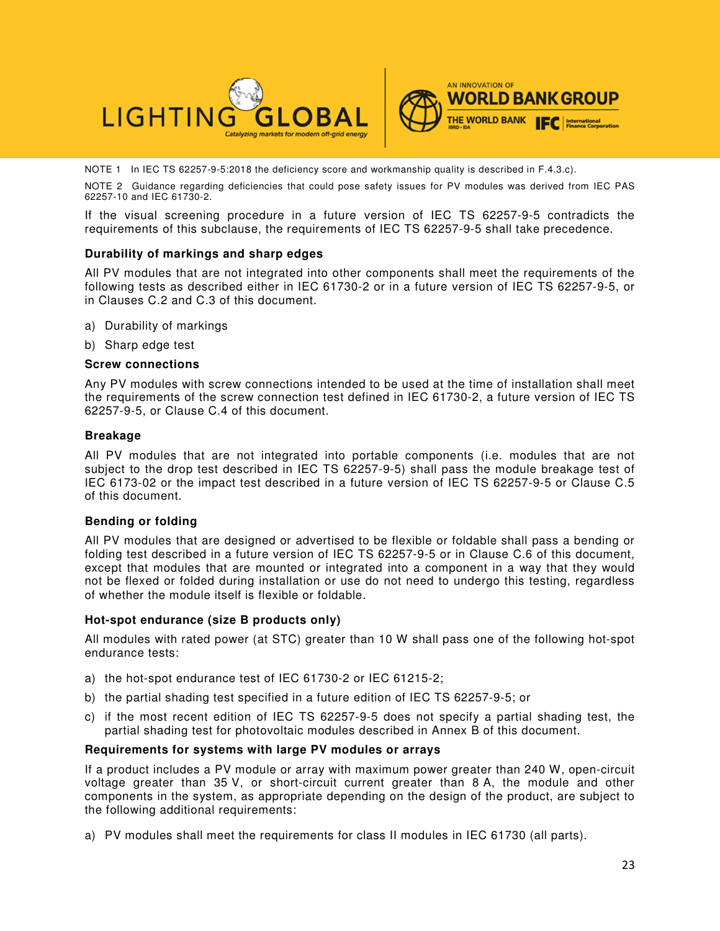

NOTE 1 In IEC TS 62257-9-5:2018 the deficiency score and workmanship quality is described in F.4.3.c).

NOTE 2 Guidance regarding deficiencies that could pose safety issues for PV modules was derived from IEC PAS 62257-10 and IEC 61730-2.

If the visual screening procedure in a future version of IEC TS 62257-9-5 contradicts the requirements of this subclause, the requirements of IEC TS 62257-9-5 shall take precedence.

#### **Durability of markings and sharp edges**

All PV modules that are not integrated into other components shall meet the requirements of the following tests as described either in IEC 61730-2 or in a future version of IEC TS 62257-9-5, or in Clauses C.2 and C.3 of this document.

- a) Durability of markings
- b) Sharp edge test

#### **Screw connections**

Any PV modules with screw connections intended to be used at the time of installation shall meet the requirements of the screw connection test defined in IEC 61730-2, a future version of IEC TS 62257-9-5, or Clause C.4 of this document.

#### **Breakage**

All PV modules that are not integrated into portable components (i.e. modules that are not subject to the drop test described in IEC TS 62257-9-5) shall pass the module breakage test of IEC 6173-02 or the impact test described in a future version of IEC TS 62257-9-5 or Clause C.5 of this document.

#### **Bending or folding**

All PV modules that are designed or advertised to be flexible or foldable shall pass a bending or folding test described in a future version of IEC TS 62257-9-5 or in Clause C.6 of this document, except that modules that are mounted or integrated into a component in a way that they would not be flexed or folded during installation or use do not need to undergo this testing, regardless of whether the module itself is flexible or foldable.

#### **Hot-spot endurance (size B products only)**

All modules with rated power (at STC) greater than 10 W shall pass one of the following hot-spot endurance tests:

- a) the hot-spot endurance test of IEC 61730-2 or IEC 61215-2;
- b) the partial shading test specified in a future edition of IEC TS 62257-9-5; or
- c) if the most recent edition of IEC TS 62257-9-5 does not specify a partial shading test, the partial shading test for photovoltaic modules described in Annex B of this document.

#### **Requirements for systems with large PV modules or arrays**

If a product includes a PV module or array with maximum power greater than 240 W, open-circuit voltage greater than 35 V, or short-circuit current greater than 8 A, the module and other components in the system, as appropriate depending on the design of the product, are subject to the following additional requirements:

a) PV modules shall meet the requirements for class II modules in IEC 61730 (all parts).